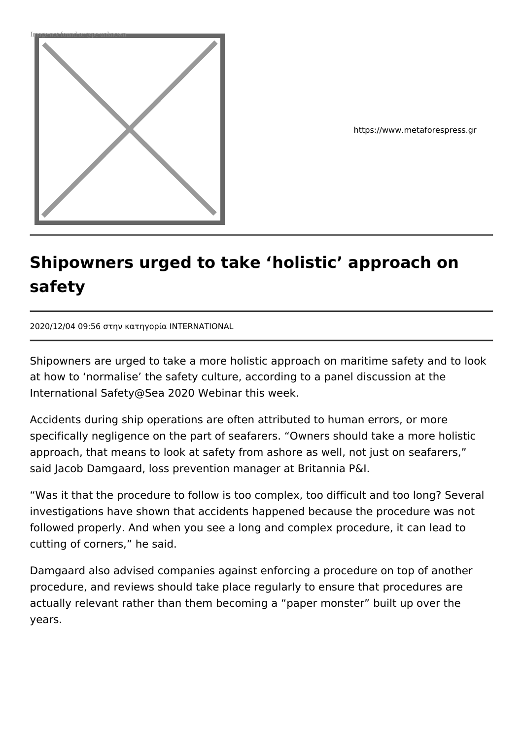

https://www.metaforespress.gr

## **Shipowners urged to take 'holistic' approach on safety**

2020/12/04 09:56 στην κατηγορία INTERNATIONAL

Shipowners are urged to take a more holistic approach on maritime safety and to look at how to 'normalise' the safety culture, according to a panel discussion at the International Safety@Sea 2020 Webinar this week.

Accidents during ship operations are often attributed to human errors, or more specifically negligence on the part of seafarers. "Owners should take a more holistic approach, that means to look at safety from ashore as well, not just on seafarers," said Jacob Damgaard, loss prevention manager at Britannia P&I.

"Was it that the procedure to follow is too complex, too difficult and too long? Several investigations have shown that accidents happened because the procedure was not followed properly. And when you see a long and complex procedure, it can lead to cutting of corners," he said.

Damgaard also advised companies against enforcing a procedure on top of another procedure, and reviews should take place regularly to ensure that procedures are actually relevant rather than them becoming a "paper monster" built up over the years.